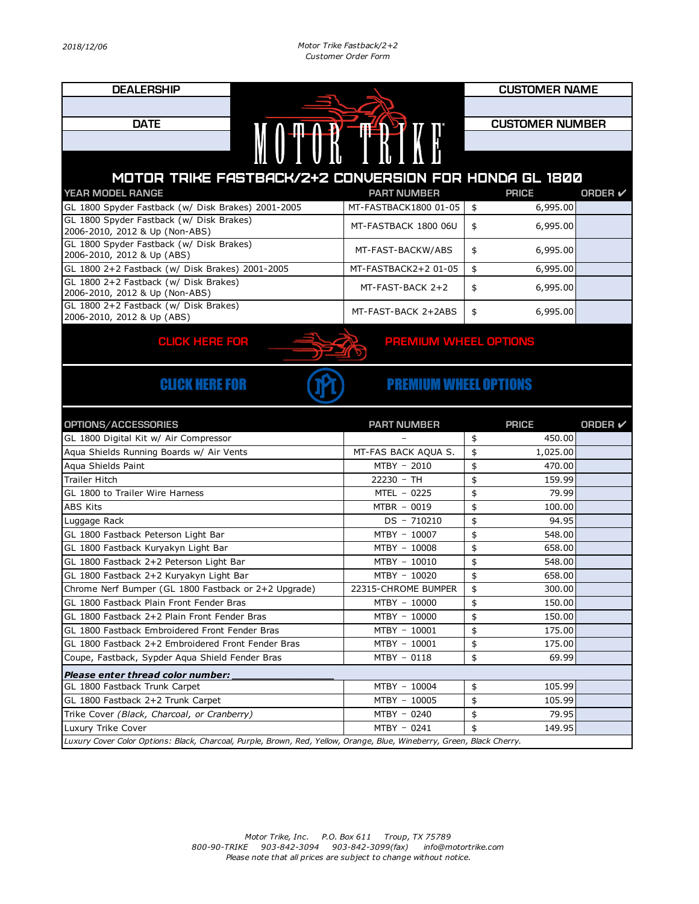| <b>DEALERSHIP</b>                                                             |                              | <b>CUSTOMER NAME</b>         |                |  |  |  |
|-------------------------------------------------------------------------------|------------------------------|------------------------------|----------------|--|--|--|
|                                                                               |                              |                              |                |  |  |  |
| <b>DATE</b>                                                                   |                              | <b>CUSTOMER NUMBER</b>       |                |  |  |  |
| MOTOR TRINI                                                                   |                              |                              |                |  |  |  |
|                                                                               |                              |                              |                |  |  |  |
|                                                                               |                              |                              |                |  |  |  |
| MOTOR TRIKE FASTBACK/2+2 CONVERSION FOR HONDA GL 1800                         |                              |                              |                |  |  |  |
| YEAR MODEL RANGE                                                              | <b>PART NUMBER</b>           | <b>PRICE</b>                 | <b>ORDER</b> ✔ |  |  |  |
| GL 1800 Spyder Fastback (w/ Disk Brakes) 2001-2005                            | MT-FASTBACK1800 01-05        | 6,995.00<br>\$               |                |  |  |  |
| GL 1800 Spyder Fastback (w/ Disk Brakes)<br>2006-2010, 2012 & Up (Non-ABS)    | MT-FASTBACK 1800 06U         | 6,995.00<br>\$               |                |  |  |  |
| GL 1800 Spyder Fastback (w/ Disk Brakes)                                      | MT-FAST-BACKW/ABS            | 6,995.00<br>\$               |                |  |  |  |
| 2006-2010, 2012 & Up (ABS)<br>GL 1800 2+2 Fastback (w/ Disk Brakes) 2001-2005 | MT-FASTBACK2+2 01-05         | \$<br>6,995.00               |                |  |  |  |
| GL 1800 2+2 Fastback (w/ Disk Brakes)                                         |                              |                              |                |  |  |  |
| 2006-2010, 2012 & Up (Non-ABS)                                                | MT-FAST-BACK 2+2             | 6,995.00<br>\$               |                |  |  |  |
| GL 1800 2+2 Fastback (w/ Disk Brakes)                                         | MT-FAST-BACK 2+2ABS          | 6,995.00<br>\$               |                |  |  |  |
| 2006-2010, 2012 & Up (ABS)                                                    |                              |                              |                |  |  |  |
| <b>CLICK HERE FOR</b>                                                         | <b>PREMIUM WHEEL OPTIONS</b> |                              |                |  |  |  |
|                                                                               |                              |                              |                |  |  |  |
|                                                                               |                              |                              |                |  |  |  |
| <b>CLICK HERE FOR</b><br><b>PREMIUM WHEEL OPTIONS</b>                         |                              |                              |                |  |  |  |
|                                                                               |                              |                              |                |  |  |  |
|                                                                               |                              |                              |                |  |  |  |
|                                                                               |                              |                              |                |  |  |  |
| OPTIONS/ACCESSORIES<br>GL 1800 Digital Kit w/ Air Compressor                  | <b>PART NUMBER</b>           | <b>PRICE</b><br>450.00<br>\$ | <b>ORDER</b> ✔ |  |  |  |
| Aqua Shields Running Boards w/ Air Vents                                      | MT-FAS BACK AQUA S.          | \$<br>1,025.00               |                |  |  |  |
| Agua Shields Paint                                                            | MTBY - 2010                  | \$<br>470.00                 |                |  |  |  |
| <b>Trailer Hitch</b>                                                          | $22230 - TH$                 | \$<br>159.99                 |                |  |  |  |
| GL 1800 to Trailer Wire Harness                                               | MTEL - 0225                  | \$<br>79.99                  |                |  |  |  |
| <b>ABS Kits</b>                                                               | MTBR - 0019                  | \$<br>100.00                 |                |  |  |  |
| Luggage Rack                                                                  | $DS - 710210$                | \$<br>94.95                  |                |  |  |  |
| GL 1800 Fastback Peterson Light Bar                                           | MTBY - 10007                 | \$<br>548.00                 |                |  |  |  |
| GL 1800 Fastback Kuryakyn Light Bar                                           | MTBY - 10008                 | \$<br>658.00                 |                |  |  |  |
| GL 1800 Fastback 2+2 Peterson Light Bar                                       | MTBY - 10010                 | \$<br>548.00                 |                |  |  |  |
| GL 1800 Fastback 2+2 Kuryakyn Light Bar                                       | MTBY - 10020                 | \$<br>658.00                 |                |  |  |  |
| Chrome Nerf Bumper (GL 1800 Fastback or 2+2 Upgrade)                          | 22315-CHROME BUMPER          | \$<br>300.00                 |                |  |  |  |
| GL 1800 Fastback Plain Front Fender Bras                                      | MTBY - 10000                 | \$<br>150.00                 |                |  |  |  |
| GL 1800 Fastback 2+2 Plain Front Fender Bras                                  | MTBY - 10000                 | \$<br>150.00                 |                |  |  |  |
| GL 1800 Fastback Embroidered Front Fender Bras                                | MTBY - 10001                 | \$<br>175.00                 |                |  |  |  |
| GL 1800 Fastback 2+2 Embroidered Front Fender Bras                            | MTBY - 10001                 | \$<br>175.00                 |                |  |  |  |
| Coupe, Fastback, Sypder Aqua Shield Fender Bras                               | MTBY - 0118                  | 69.99<br>\$                  |                |  |  |  |
| Please enter thread color number:                                             |                              |                              |                |  |  |  |
| GL 1800 Fastback Trunk Carpet                                                 | MTBY - 10004                 | \$<br>105.99                 |                |  |  |  |
| GL 1800 Fastback 2+2 Trunk Carpet                                             | MTBY - 10005                 | \$<br>105.99                 |                |  |  |  |
| Trike Cover (Black, Charcoal, or Cranberry)                                   | MTBY - 0240                  | \$<br>79.95                  |                |  |  |  |
| Luxury Trike Cover                                                            | MTBY - 0241                  | \$<br>149.95                 |                |  |  |  |